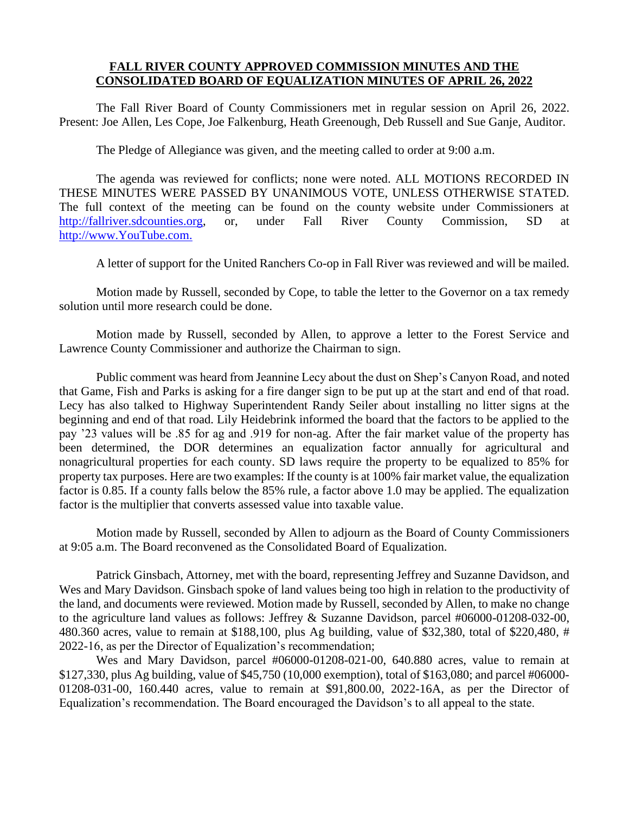## **FALL RIVER COUNTY APPROVED COMMISSION MINUTES AND THE CONSOLIDATED BOARD OF EQUALIZATION MINUTES OF APRIL 26, 2022**

The Fall River Board of County Commissioners met in regular session on April 26, 2022. Present: Joe Allen, Les Cope, Joe Falkenburg, Heath Greenough, Deb Russell and Sue Ganje, Auditor.

The Pledge of Allegiance was given, and the meeting called to order at 9:00 a.m.

The agenda was reviewed for conflicts; none were noted. ALL MOTIONS RECORDED IN THESE MINUTES WERE PASSED BY UNANIMOUS VOTE, UNLESS OTHERWISE STATED. The full context of the meeting can be found on the county website under Commissioners at [http://fallriver.sdcounties.org,](http://fallriver.sdcounties.org/) or, under Fall River County Commission, SD at [http://www.YouTube.com.](http://www.youtube.com/)

A letter of support for the United Ranchers Co-op in Fall River was reviewed and will be mailed.

Motion made by Russell, seconded by Cope, to table the letter to the Governor on a tax remedy solution until more research could be done.

Motion made by Russell, seconded by Allen, to approve a letter to the Forest Service and Lawrence County Commissioner and authorize the Chairman to sign.

Public comment was heard from Jeannine Lecy about the dust on Shep's Canyon Road, and noted that Game, Fish and Parks is asking for a fire danger sign to be put up at the start and end of that road. Lecy has also talked to Highway Superintendent Randy Seiler about installing no litter signs at the beginning and end of that road. Lily Heidebrink informed the board that the factors to be applied to the pay '23 values will be .85 for ag and .919 for non-ag. After the fair market value of the property has been determined, the DOR determines an equalization factor annually for agricultural and nonagricultural properties for each county. SD laws require the property to be equalized to 85% for property tax purposes. Here are two examples: If the county is at 100% fair market value, the equalization factor is 0.85. If a county falls below the 85% rule, a factor above 1.0 may be applied. The equalization factor is the multiplier that converts assessed value into taxable value.

Motion made by Russell, seconded by Allen to adjourn as the Board of County Commissioners at 9:05 a.m. The Board reconvened as the Consolidated Board of Equalization.

Patrick Ginsbach, Attorney, met with the board, representing Jeffrey and Suzanne Davidson, and Wes and Mary Davidson. Ginsbach spoke of land values being too high in relation to the productivity of the land, and documents were reviewed. Motion made by Russell, seconded by Allen, to make no change to the agriculture land values as follows: Jeffrey & Suzanne Davidson, parcel #06000-01208-032-00, 480.360 acres, value to remain at \$188,100, plus Ag building, value of \$32,380, total of \$220,480, # 2022-16, as per the Director of Equalization's recommendation;

Wes and Mary Davidson, parcel #06000-01208-021-00, 640.880 acres, value to remain at \$127,330, plus Ag building, value of \$45,750 (10,000 exemption), total of \$163,080; and parcel #06000- 01208-031-00, 160.440 acres, value to remain at \$91,800.00, 2022-16A, as per the Director of Equalization's recommendation. The Board encouraged the Davidson's to all appeal to the state.